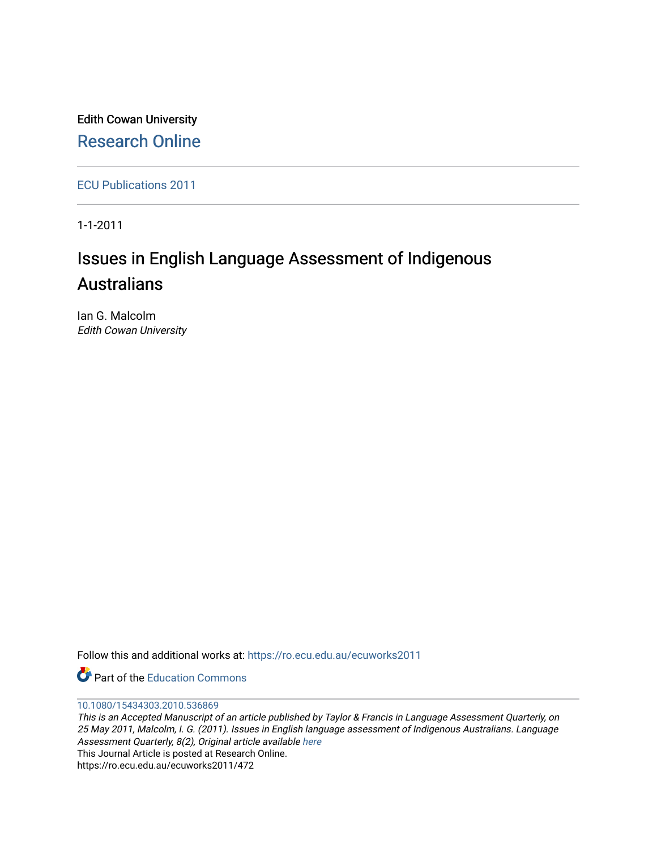Edith Cowan University [Research Online](https://ro.ecu.edu.au/) 

[ECU Publications 2011](https://ro.ecu.edu.au/ecuworks2011)

1-1-2011

# Issues in English Language Assessment of Indigenous **Australians**

Ian G. Malcolm Edith Cowan University

Follow this and additional works at: [https://ro.ecu.edu.au/ecuworks2011](https://ro.ecu.edu.au/ecuworks2011?utm_source=ro.ecu.edu.au%2Fecuworks2011%2F472&utm_medium=PDF&utm_campaign=PDFCoverPages) 

**C** Part of the [Education Commons](http://network.bepress.com/hgg/discipline/784?utm_source=ro.ecu.edu.au%2Fecuworks2011%2F472&utm_medium=PDF&utm_campaign=PDFCoverPages)

#### [10.1080/15434303.2010.536869](http://dx.doi.org/10.1080/15434303.2010.536869)

This is an Accepted Manuscript of an article published by Taylor & Francis in Language Assessment Quarterly, on 25 May 2011, Malcolm, I. G. (2011). Issues in English language assessment of Indigenous Australians. Language Assessment Quarterly, 8(2), Original article available [here](http://www.tandfonline.com/doi/full/10.1080/15434303.2010.536869) This Journal Article is posted at Research Online. https://ro.ecu.edu.au/ecuworks2011/472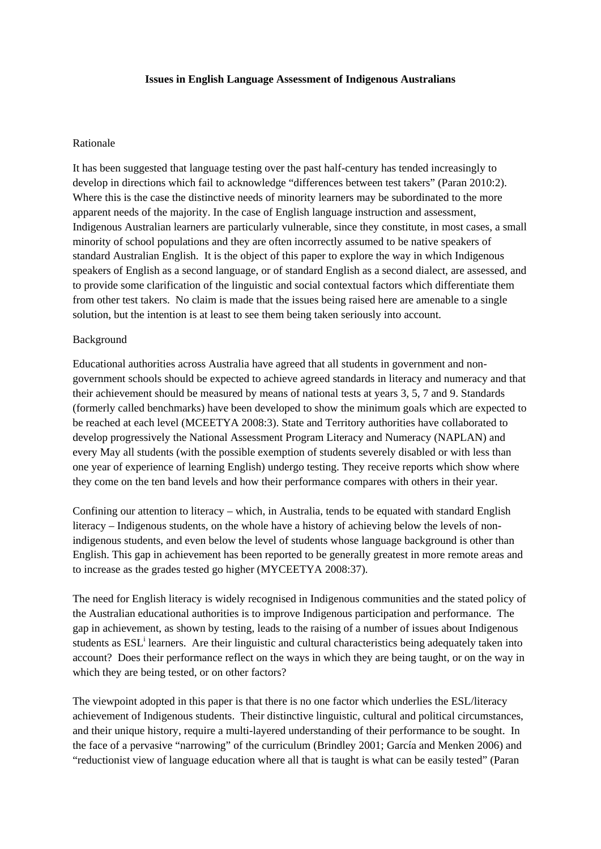### **Issues in English Language Assessment of Indigenous Australians**

## Rationale

It has been suggested that language testing over the past half-century has tended increasingly to develop in directions which fail to acknowledge "differences between test takers" (Paran 2010:2). Where this is the case the distinctive needs of minority learners may be subordinated to the more apparent needs of the majority. In the case of English language instruction and assessment, Indigenous Australian learners are particularly vulnerable, since they constitute, in most cases, a small minority of school populations and they are often incorrectly assumed to be native speakers of standard Australian English. It is the object of this paper to explore the way in which Indigenous speakers of English as a second language, or of standard English as a second dialect, are assessed, and to provide some clarification of the linguistic and social contextual factors which differentiate them from other test takers. No claim is made that the issues being raised here are amenable to a single solution, but the intention is at least to see them being taken seriously into account.

### Background

Educational authorities across Australia have agreed that all students in government and nongovernment schools should be expected to achieve agreed standards in literacy and numeracy and that their achievement should be measured by means of national tests at years 3, 5, 7 and 9. Standards (formerly called benchmarks) have been developed to show the minimum goals which are expected to be reached at each level (MCEETYA 2008:3). State and Territory authorities have collaborated to develop progressively the National Assessment Program Literacy and Numeracy (NAPLAN) and every May all students (with the possible exemption of students severely disabled or with less than one year of experience of learning English) undergo testing. They receive reports which show where they come on the ten band levels and how their performance compares with others in their year.

Confining our attention to literacy – which, in Australia, tends to be equated with standard English literacy – Indigenous students, on the whole have a history of achieving below the levels of nonindigenous students, and even below the level of students whose language background is other than English. This gap in achievement has been reported to be generally greatest in more remote areas and to increase as the grades tested go higher (MYCEETYA 2008:37).

The need for English literacy is widely recognised in Indigenous communities and the stated policy of the Australian educational authorities is to improve Indigenous participation and performance. The gap in achievement, as shown by testing, leads to the raising of a number of issues about Indigenous students as ESL<sup>i</sup> learners. Are their linguistic and cultural characteristics being adequately taken into account? Does their performance reflect on the ways in which they are being taught, or on the way in which they are being tested, or on other factors?

The viewpoint adopted in this paper is that there is no one factor which underlies the ESL/literacy achievement of Indigenous students. Their distinctive linguistic, cultural and political circumstances, and their unique history, require a multi-layered understanding of their performance to be sought. In the face of a pervasive "narrowing" of the curriculum (Brindley 2001; García and Menken 2006) and "reductionist view of language education where all that is taught is what can be easily tested" (Paran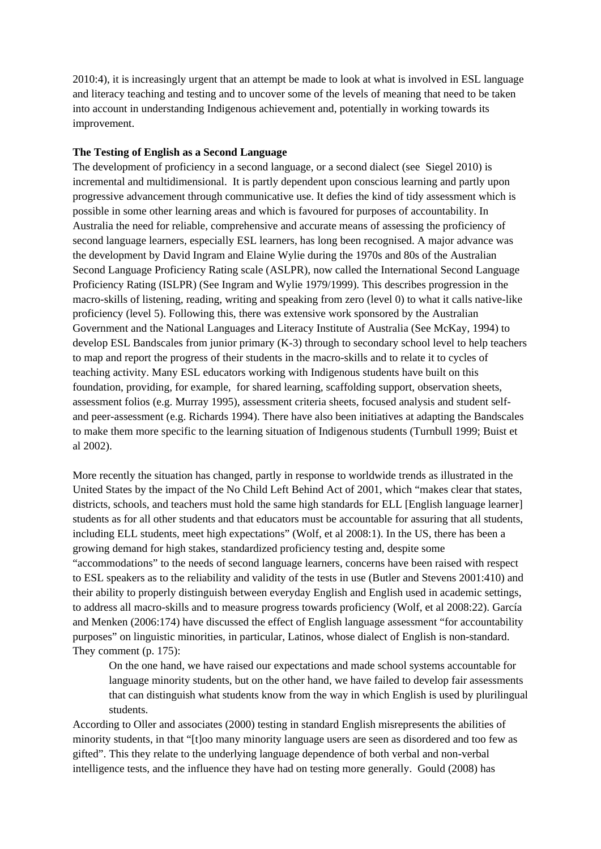2010:4), it is increasingly urgent that an attempt be made to look at what is involved in ESL language and literacy teaching and testing and to uncover some of the levels of meaning that need to be taken into account in understanding Indigenous achievement and, potentially in working towards its improvement.

## **The Testing of English as a Second Language**

The development of proficiency in a second language, or a second dialect (see Siegel 2010) is incremental and multidimensional. It is partly dependent upon conscious learning and partly upon progressive advancement through communicative use. It defies the kind of tidy assessment which is possible in some other learning areas and which is favoured for purposes of accountability. In Australia the need for reliable, comprehensive and accurate means of assessing the proficiency of second language learners, especially ESL learners, has long been recognised. A major advance was the development by David Ingram and Elaine Wylie during the 1970s and 80s of the Australian Second Language Proficiency Rating scale (ASLPR), now called the International Second Language Proficiency Rating (ISLPR) (See Ingram and Wylie 1979/1999). This describes progression in the macro-skills of listening, reading, writing and speaking from zero (level 0) to what it calls native-like proficiency (level 5). Following this, there was extensive work sponsored by the Australian Government and the National Languages and Literacy Institute of Australia (See McKay, 1994) to develop ESL Bandscales from junior primary (K-3) through to secondary school level to help teachers to map and report the progress of their students in the macro-skills and to relate it to cycles of teaching activity. Many ESL educators working with Indigenous students have built on this foundation, providing, for example, for shared learning, scaffolding support, observation sheets, assessment folios (e.g. Murray 1995), assessment criteria sheets, focused analysis and student selfand peer-assessment (e.g. Richards 1994). There have also been initiatives at adapting the Bandscales to make them more specific to the learning situation of Indigenous students (Turnbull 1999; Buist et al 2002).

More recently the situation has changed, partly in response to worldwide trends as illustrated in the United States by the impact of the No Child Left Behind Act of 2001, which "makes clear that states, districts, schools, and teachers must hold the same high standards for ELL [English language learner] students as for all other students and that educators must be accountable for assuring that all students, including ELL students, meet high expectations" (Wolf, et al 2008:1). In the US, there has been a growing demand for high stakes, standardized proficiency testing and, despite some "accommodations" to the needs of second language learners, concerns have been raised with respect to ESL speakers as to the reliability and validity of the tests in use (Butler and Stevens 2001:410) and their ability to properly distinguish between everyday English and English used in academic settings, to address all macro-skills and to measure progress towards proficiency (Wolf, et al 2008:22). García and Menken (2006:174) have discussed the effect of English language assessment "for accountability purposes" on linguistic minorities, in particular, Latinos, whose dialect of English is non-standard. They comment (p. 175):

On the one hand, we have raised our expectations and made school systems accountable for language minority students, but on the other hand, we have failed to develop fair assessments that can distinguish what students know from the way in which English is used by plurilingual students.

According to Oller and associates (2000) testing in standard English misrepresents the abilities of minority students, in that "[t]oo many minority language users are seen as disordered and too few as gifted". This they relate to the underlying language dependence of both verbal and non-verbal intelligence tests, and the influence they have had on testing more generally. Gould (2008) has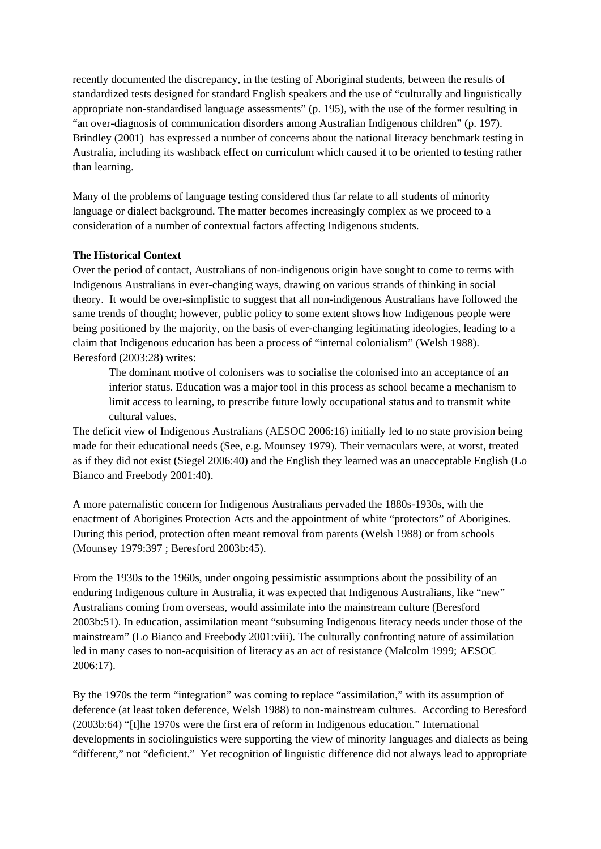recently documented the discrepancy, in the testing of Aboriginal students, between the results of standardized tests designed for standard English speakers and the use of "culturally and linguistically appropriate non-standardised language assessments" (p. 195), with the use of the former resulting in "an over-diagnosis of communication disorders among Australian Indigenous children" (p. 197). Brindley (2001) has expressed a number of concerns about the national literacy benchmark testing in Australia, including its washback effect on curriculum which caused it to be oriented to testing rather than learning.

Many of the problems of language testing considered thus far relate to all students of minority language or dialect background. The matter becomes increasingly complex as we proceed to a consideration of a number of contextual factors affecting Indigenous students.

# **The Historical Context**

Over the period of contact, Australians of non-indigenous origin have sought to come to terms with Indigenous Australians in ever-changing ways, drawing on various strands of thinking in social theory. It would be over-simplistic to suggest that all non-indigenous Australians have followed the same trends of thought; however, public policy to some extent shows how Indigenous people were being positioned by the majority, on the basis of ever-changing legitimating ideologies, leading to a claim that Indigenous education has been a process of "internal colonialism" (Welsh 1988). Beresford (2003:28) writes:

The dominant motive of colonisers was to socialise the colonised into an acceptance of an inferior status. Education was a major tool in this process as school became a mechanism to limit access to learning, to prescribe future lowly occupational status and to transmit white cultural values.

The deficit view of Indigenous Australians (AESOC 2006:16) initially led to no state provision being made for their educational needs (See, e.g. Mounsey 1979). Their vernaculars were, at worst, treated as if they did not exist (Siegel 2006:40) and the English they learned was an unacceptable English (Lo Bianco and Freebody 2001:40).

A more paternalistic concern for Indigenous Australians pervaded the 1880s-1930s, with the enactment of Aborigines Protection Acts and the appointment of white "protectors" of Aborigines. During this period, protection often meant removal from parents (Welsh 1988) or from schools (Mounsey 1979:397 ; Beresford 2003b:45).

From the 1930s to the 1960s, under ongoing pessimistic assumptions about the possibility of an enduring Indigenous culture in Australia, it was expected that Indigenous Australians, like "new" Australians coming from overseas, would assimilate into the mainstream culture (Beresford 2003b:51). In education, assimilation meant "subsuming Indigenous literacy needs under those of the mainstream" (Lo Bianco and Freebody 2001:viii). The culturally confronting nature of assimilation led in many cases to non-acquisition of literacy as an act of resistance (Malcolm 1999; AESOC 2006:17).

By the 1970s the term "integration" was coming to replace "assimilation," with its assumption of deference (at least token deference, Welsh 1988) to non-mainstream cultures. According to Beresford (2003b:64) "[t]he 1970s were the first era of reform in Indigenous education." International developments in sociolinguistics were supporting the view of minority languages and dialects as being "different," not "deficient." Yet recognition of linguistic difference did not always lead to appropriate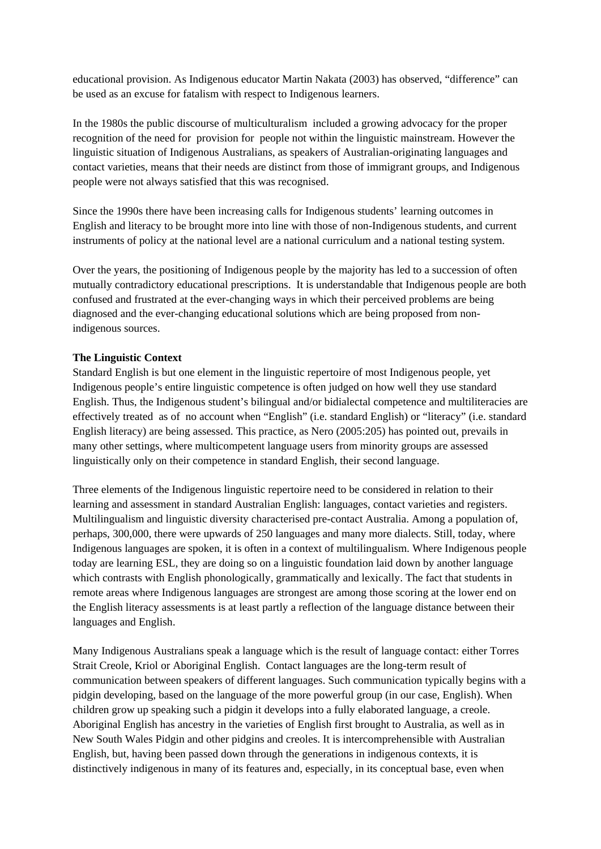educational provision. As Indigenous educator Martin Nakata (2003) has observed, "difference" can be used as an excuse for fatalism with respect to Indigenous learners.

In the 1980s the public discourse of multiculturalism included a growing advocacy for the proper recognition of the need for provision for people not within the linguistic mainstream. However the linguistic situation of Indigenous Australians, as speakers of Australian-originating languages and contact varieties, means that their needs are distinct from those of immigrant groups, and Indigenous people were not always satisfied that this was recognised.

Since the 1990s there have been increasing calls for Indigenous students' learning outcomes in English and literacy to be brought more into line with those of non-Indigenous students, and current instruments of policy at the national level are a national curriculum and a national testing system.

Over the years, the positioning of Indigenous people by the majority has led to a succession of often mutually contradictory educational prescriptions. It is understandable that Indigenous people are both confused and frustrated at the ever-changing ways in which their perceived problems are being diagnosed and the ever-changing educational solutions which are being proposed from nonindigenous sources.

# **The Linguistic Context**

Standard English is but one element in the linguistic repertoire of most Indigenous people, yet Indigenous people's entire linguistic competence is often judged on how well they use standard English. Thus, the Indigenous student's bilingual and/or bidialectal competence and multiliteracies are effectively treated as of no account when "English" (i.e. standard English) or "literacy" (i.e. standard English literacy) are being assessed. This practice, as Nero (2005:205) has pointed out, prevails in many other settings, where multicompetent language users from minority groups are assessed linguistically only on their competence in standard English, their second language.

Three elements of the Indigenous linguistic repertoire need to be considered in relation to their learning and assessment in standard Australian English: languages, contact varieties and registers. Multilingualism and linguistic diversity characterised pre-contact Australia. Among a population of, perhaps, 300,000, there were upwards of 250 languages and many more dialects. Still, today, where Indigenous languages are spoken, it is often in a context of multilingualism. Where Indigenous people today are learning ESL, they are doing so on a linguistic foundation laid down by another language which contrasts with English phonologically, grammatically and lexically. The fact that students in remote areas where Indigenous languages are strongest are among those scoring at the lower end on the English literacy assessments is at least partly a reflection of the language distance between their languages and English.

Many Indigenous Australians speak a language which is the result of language contact: either Torres Strait Creole, Kriol or Aboriginal English. Contact languages are the long-term result of communication between speakers of different languages. Such communication typically begins with a pidgin developing, based on the language of the more powerful group (in our case, English). When children grow up speaking such a pidgin it develops into a fully elaborated language, a creole. Aboriginal English has ancestry in the varieties of English first brought to Australia, as well as in New South Wales Pidgin and other pidgins and creoles. It is intercomprehensible with Australian English, but, having been passed down through the generations in indigenous contexts, it is distinctively indigenous in many of its features and, especially, in its conceptual base, even when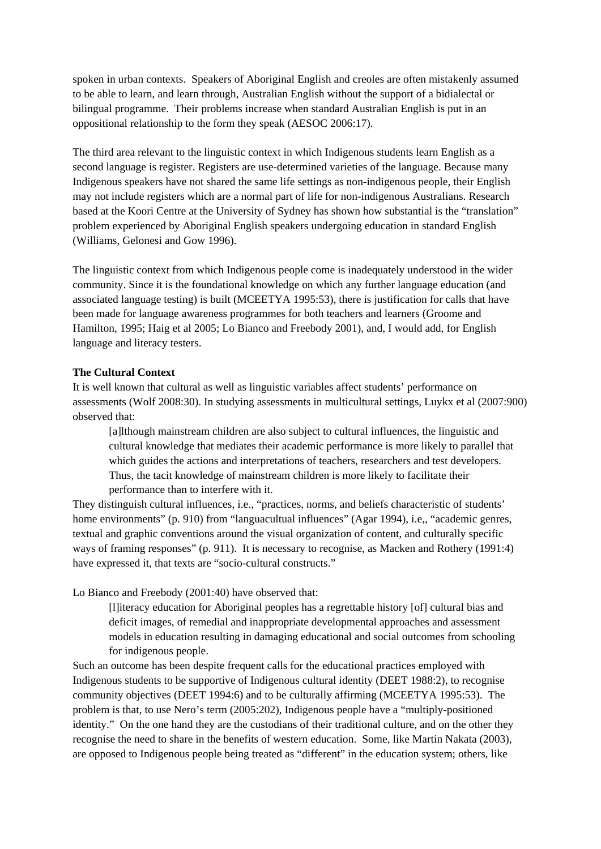spoken in urban contexts. Speakers of Aboriginal English and creoles are often mistakenly assumed to be able to learn, and learn through, Australian English without the support of a bidialectal or bilingual programme. Their problems increase when standard Australian English is put in an oppositional relationship to the form they speak (AESOC 2006:17).

The third area relevant to the linguistic context in which Indigenous students learn English as a second language is register. Registers are use-determined varieties of the language. Because many Indigenous speakers have not shared the same life settings as non-indigenous people, their English may not include registers which are a normal part of life for non-indigenous Australians. Research based at the Koori Centre at the University of Sydney has shown how substantial is the "translation" problem experienced by Aboriginal English speakers undergoing education in standard English (Williams, Gelonesi and Gow 1996).

The linguistic context from which Indigenous people come is inadequately understood in the wider community. Since it is the foundational knowledge on which any further language education (and associated language testing) is built (MCEETYA 1995:53), there is justification for calls that have been made for language awareness programmes for both teachers and learners (Groome and Hamilton, 1995; Haig et al 2005; Lo Bianco and Freebody 2001), and, I would add, for English language and literacy testers.

## **The Cultural Context**

It is well known that cultural as well as linguistic variables affect students' performance on assessments (Wolf 2008:30). In studying assessments in multicultural settings, Luykx et al (2007:900) observed that:

[a]lthough mainstream children are also subject to cultural influences, the linguistic and cultural knowledge that mediates their academic performance is more likely to parallel that which guides the actions and interpretations of teachers, researchers and test developers. Thus, the tacit knowledge of mainstream children is more likely to facilitate their performance than to interfere with it.

They distinguish cultural influences, i.e., "practices, norms, and beliefs characteristic of students' home environments" (p. 910) from "languacultual influences" (Agar 1994), i.e., "academic genres, textual and graphic conventions around the visual organization of content, and culturally specific ways of framing responses" (p. 911). It is necessary to recognise, as Macken and Rothery (1991:4) have expressed it, that texts are "socio-cultural constructs."

Lo Bianco and Freebody (2001:40) have observed that:

[l]iteracy education for Aboriginal peoples has a regrettable history [of] cultural bias and deficit images, of remedial and inappropriate developmental approaches and assessment models in education resulting in damaging educational and social outcomes from schooling for indigenous people.

Such an outcome has been despite frequent calls for the educational practices employed with Indigenous students to be supportive of Indigenous cultural identity (DEET 1988:2), to recognise community objectives (DEET 1994:6) and to be culturally affirming (MCEETYA 1995:53). The problem is that, to use Nero's term (2005:202), Indigenous people have a "multiply-positioned identity." On the one hand they are the custodians of their traditional culture, and on the other they recognise the need to share in the benefits of western education. Some, like Martin Nakata (2003), are opposed to Indigenous people being treated as "different" in the education system; others, like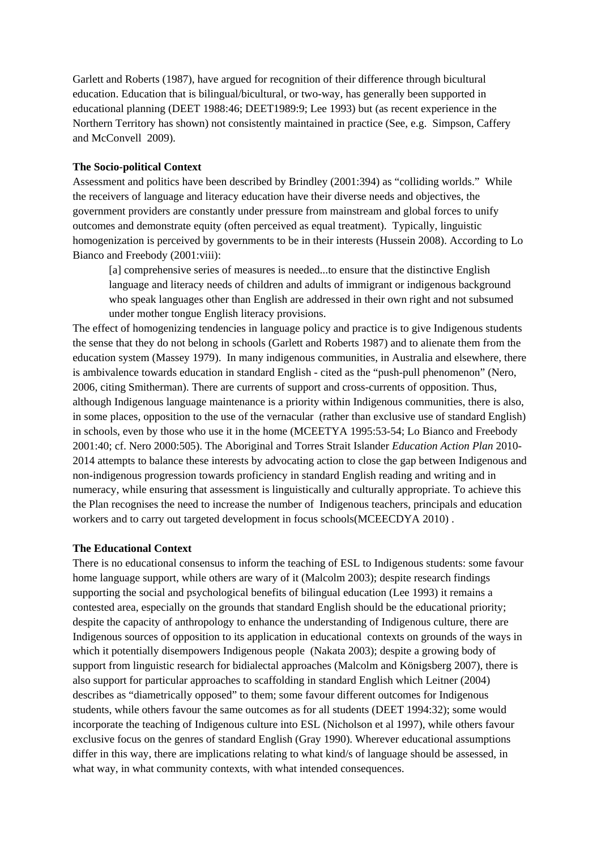Garlett and Roberts (1987), have argued for recognition of their difference through bicultural education. Education that is bilingual/bicultural, or two-way, has generally been supported in educational planning (DEET 1988:46; DEET1989:9; Lee 1993) but (as recent experience in the Northern Territory has shown) not consistently maintained in practice (See, e.g. Simpson, Caffery and McConvell 2009).

## **The Socio-political Context**

Assessment and politics have been described by Brindley (2001:394) as "colliding worlds." While the receivers of language and literacy education have their diverse needs and objectives, the government providers are constantly under pressure from mainstream and global forces to unify outcomes and demonstrate equity (often perceived as equal treatment). Typically, linguistic homogenization is perceived by governments to be in their interests (Hussein 2008). According to Lo Bianco and Freebody (2001:viii):

[a] comprehensive series of measures is needed...to ensure that the distinctive English language and literacy needs of children and adults of immigrant or indigenous background who speak languages other than English are addressed in their own right and not subsumed under mother tongue English literacy provisions.

The effect of homogenizing tendencies in language policy and practice is to give Indigenous students the sense that they do not belong in schools (Garlett and Roberts 1987) and to alienate them from the education system (Massey 1979). In many indigenous communities, in Australia and elsewhere, there is ambivalence towards education in standard English - cited as the "push-pull phenomenon" (Nero, 2006, citing Smitherman). There are currents of support and cross-currents of opposition. Thus, although Indigenous language maintenance is a priority within Indigenous communities, there is also, in some places, opposition to the use of the vernacular (rather than exclusive use of standard English) in schools, even by those who use it in the home (MCEETYA 1995:53-54; Lo Bianco and Freebody 2001:40; cf. Nero 2000:505). The Aboriginal and Torres Strait Islander *Education Action Plan* 2010- 2014 attempts to balance these interests by advocating action to close the gap between Indigenous and non-indigenous progression towards proficiency in standard English reading and writing and in numeracy, while ensuring that assessment is linguistically and culturally appropriate. To achieve this the Plan recognises the need to increase the number of Indigenous teachers, principals and education workers and to carry out targeted development in focus schools(MCEECDYA 2010) .

## **The Educational Context**

There is no educational consensus to inform the teaching of ESL to Indigenous students: some favour home language support, while others are wary of it (Malcolm 2003); despite research findings supporting the social and psychological benefits of bilingual education (Lee 1993) it remains a contested area, especially on the grounds that standard English should be the educational priority; despite the capacity of anthropology to enhance the understanding of Indigenous culture, there are Indigenous sources of opposition to its application in educational contexts on grounds of the ways in which it potentially disempowers Indigenous people (Nakata 2003); despite a growing body of support from linguistic research for bidialectal approaches (Malcolm and Königsberg 2007), there is also support for particular approaches to scaffolding in standard English which Leitner (2004) describes as "diametrically opposed" to them; some favour different outcomes for Indigenous students, while others favour the same outcomes as for all students (DEET 1994:32); some would incorporate the teaching of Indigenous culture into ESL (Nicholson et al 1997), while others favour exclusive focus on the genres of standard English (Gray 1990). Wherever educational assumptions differ in this way, there are implications relating to what kind/s of language should be assessed, in what way, in what community contexts, with what intended consequences.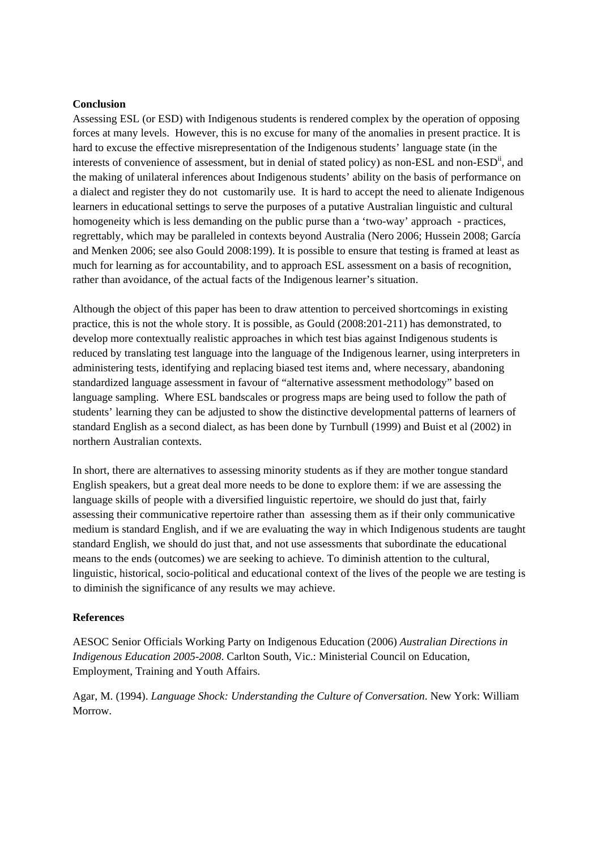### **Conclusion**

Assessing ESL (or ESD) with Indigenous students is rendered complex by the operation of opposing forces at many levels. However, this is no excuse for many of the anomalies in present practice. It is hard to excuse the effective misrepresentation of the Indigenous students' language state (in the interests of convenience of assessment, but in denial of stated policy) as non-ESL and non-ESD<sup>ii</sup>, and the making of unilateral inferences about Indigenous students' ability on the basis of performance on a dialect and register they do not customarily use. It is hard to accept the need to alienate Indigenous learners in educational settings to serve the purposes of a putative Australian linguistic and cultural homogeneity which is less demanding on the public purse than a 'two-way' approach - practices, regrettably, which may be paralleled in contexts beyond Australia (Nero 2006; Hussein 2008; García and Menken 2006; see also Gould 2008:199). It is possible to ensure that testing is framed at least as much for learning as for accountability, and to approach ESL assessment on a basis of recognition, rather than avoidance, of the actual facts of the Indigenous learner's situation.

Although the object of this paper has been to draw attention to perceived shortcomings in existing practice, this is not the whole story. It is possible, as Gould (2008:201-211) has demonstrated, to develop more contextually realistic approaches in which test bias against Indigenous students is reduced by translating test language into the language of the Indigenous learner, using interpreters in administering tests, identifying and replacing biased test items and, where necessary, abandoning standardized language assessment in favour of "alternative assessment methodology" based on language sampling. Where ESL bandscales or progress maps are being used to follow the path of students' learning they can be adjusted to show the distinctive developmental patterns of learners of standard English as a second dialect, as has been done by Turnbull (1999) and Buist et al (2002) in northern Australian contexts.

In short, there are alternatives to assessing minority students as if they are mother tongue standard English speakers, but a great deal more needs to be done to explore them: if we are assessing the language skills of people with a diversified linguistic repertoire, we should do just that, fairly assessing their communicative repertoire rather than assessing them as if their only communicative medium is standard English, and if we are evaluating the way in which Indigenous students are taught standard English, we should do just that, and not use assessments that subordinate the educational means to the ends (outcomes) we are seeking to achieve. To diminish attention to the cultural, linguistic, historical, socio-political and educational context of the lives of the people we are testing is to diminish the significance of any results we may achieve.

#### **References**

AESOC Senior Officials Working Party on Indigenous Education (2006) *Australian Directions in Indigenous Education 2005-2008*. Carlton South, Vic.: Ministerial Council on Education, Employment, Training and Youth Affairs.

Agar, M. (1994). *Language Shock: Understanding the Culture of Conversation*. New York: William Morrow.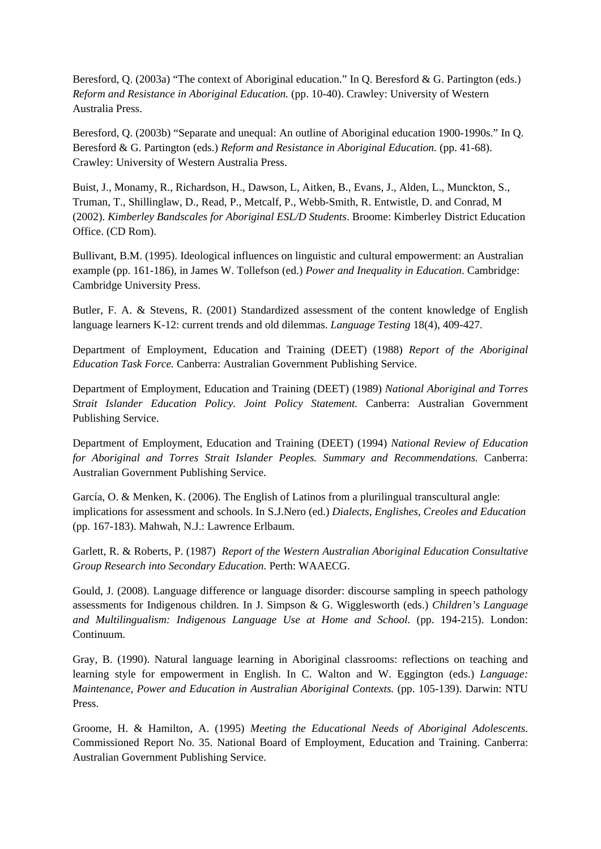Beresford, Q. (2003a) "The context of Aboriginal education." In Q. Beresford & G. Partington (eds.) *Reform and Resistance in Aboriginal Education.* (pp. 10-40). Crawley: University of Western Australia Press.

Beresford, Q. (2003b) "Separate and unequal: An outline of Aboriginal education 1900-1990s." In Q. Beresford & G. Partington (eds.) *Reform and Resistance in Aboriginal Education.* (pp. 41-68). Crawley: University of Western Australia Press.

Buist, J., Monamy, R., Richardson, H., Dawson, L, Aitken, B., Evans, J., Alden, L., Munckton, S., Truman, T., Shillinglaw, D., Read, P., Metcalf, P., Webb-Smith, R. Entwistle, D. and Conrad, M (2002). *Kimberley Bandscales for Aboriginal ESL/D Students*. Broome: Kimberley District Education Office. (CD Rom).

Bullivant, B.M. (1995). Ideological influences on linguistic and cultural empowerment: an Australian example (pp. 161-186), in James W. Tollefson (ed.) *Power and Inequality in Education*. Cambridge: Cambridge University Press.

Butler, F. A. & Stevens, R. (2001) Standardized assessment of the content knowledge of English language learners K-12: current trends and old dilemmas. *Language Testing* 18(4), 409-427.

Department of Employment, Education and Training (DEET) (1988) *Report of the Aboriginal Education Task Force.* Canberra: Australian Government Publishing Service.

Department of Employment, Education and Training (DEET) (1989) *National Aboriginal and Torres Strait Islander Education Policy. Joint Policy Statement.* Canberra: Australian Government Publishing Service.

Department of Employment, Education and Training (DEET) (1994) *National Review of Education for Aboriginal and Torres Strait Islander Peoples. Summary and Recommendations.* Canberra: Australian Government Publishing Service.

García, O. & Menken, K. (2006). The English of Latinos from a plurilingual transcultural angle: implications for assessment and schools. In S.J.Nero (ed.) *Dialects, Englishes, Creoles and Education*  (pp. 167-183). Mahwah, N.J.: Lawrence Erlbaum.

Garlett, R. & Roberts, P. (1987) *Report of the Western Australian Aboriginal Education Consultative Group Research into Secondary Education.* Perth: WAAECG.

Gould, J. (2008). Language difference or language disorder: discourse sampling in speech pathology assessments for Indigenous children. In J. Simpson & G. Wigglesworth (eds.) *Children's Language and Multilingualism: Indigenous Language Use at Home and School.* (pp. 194-215). London: Continuum.

Gray, B. (1990). Natural language learning in Aboriginal classrooms: reflections on teaching and learning style for empowerment in English. In C. Walton and W. Eggington (eds.) *Language: Maintenance, Power and Education in Australian Aboriginal Contexts.* (pp. 105-139). Darwin: NTU Press.

Groome, H. & Hamilton, A. (1995) *Meeting the Educational Needs of Aboriginal Adolescents*. Commissioned Report No. 35. National Board of Employment, Education and Training. Canberra: Australian Government Publishing Service.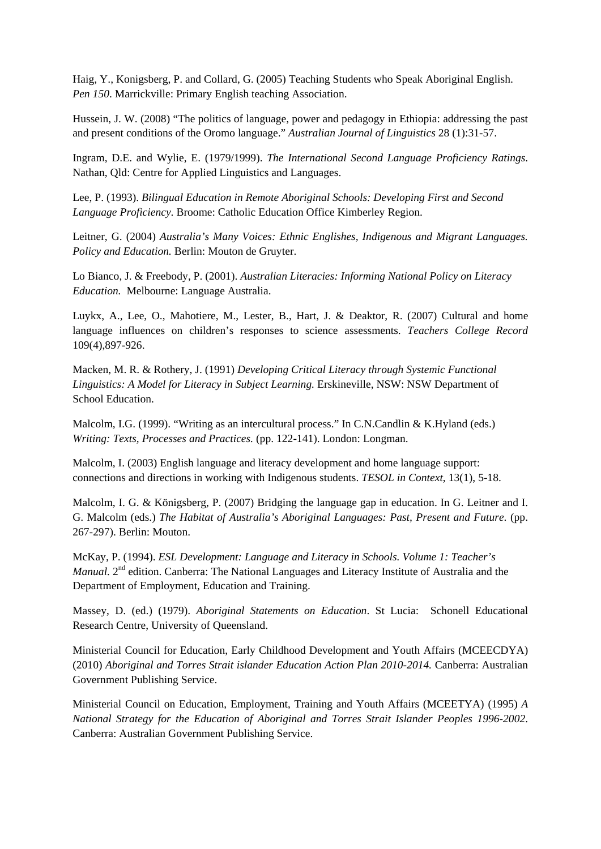Haig, Y., Konigsberg, P. and Collard, G. (2005) Teaching Students who Speak Aboriginal English. *Pen 150*. Marrickville: Primary English teaching Association.

Hussein, J. W. (2008) "The politics of language, power and pedagogy in Ethiopia: addressing the past and present conditions of the Oromo language." *Australian Journal of Linguistics* 28 (1):31-57.

Ingram, D.E. and Wylie, E. (1979/1999). *The International Second Language Proficiency Ratings*. Nathan, Qld: Centre for Applied Linguistics and Languages.

Lee, P. (1993). *Bilingual Education in Remote Aboriginal Schools: Developing First and Second Language Proficiency*. Broome: Catholic Education Office Kimberley Region.

Leitner, G. (2004) *Australia's Many Voices: Ethnic Englishes, Indigenous and Migrant Languages. Policy and Education.* Berlin: Mouton de Gruyter.

Lo Bianco, J. & Freebody, P. (2001). *Australian Literacies: Informing National Policy on Literacy Education.* Melbourne: Language Australia.

Luykx, A., Lee, O., Mahotiere, M., Lester, B., Hart, J. & Deaktor, R. (2007) Cultural and home language influences on children's responses to science assessments. *Teachers College Record* 109(4),897-926.

Macken, M. R. & Rothery, J. (1991) *Developing Critical Literacy through Systemic Functional Linguistics: A Model for Literacy in Subject Learning.* Erskineville, NSW: NSW Department of School Education.

Malcolm, I.G. (1999). "Writing as an intercultural process." In C.N.Candlin & K.Hyland (eds.) *Writing: Texts, Processes and Practices.* (pp. 122-141). London: Longman.

Malcolm, I. (2003) English language and literacy development and home language support: connections and directions in working with Indigenous students. *TESOL in Context*, 13(1), 5-18.

Malcolm, I. G. & Königsberg, P. (2007) Bridging the language gap in education. In G. Leitner and I. G. Malcolm (eds.) *The Habitat of Australia's Aboriginal Languages: Past, Present and Future*. (pp. 267-297). Berlin: Mouton.

McKay, P. (1994). *ESL Development: Language and Literacy in Schools. Volume 1: Teacher's Manual.* 2<sup>nd</sup> edition. Canberra: The National Languages and Literacy Institute of Australia and the Department of Employment, Education and Training.

Massey, D. (ed.) (1979). *Aboriginal Statements on Education*. St Lucia: Schonell Educational Research Centre, University of Queensland.

Ministerial Council for Education, Early Childhood Development and Youth Affairs (MCEECDYA) (2010) *Aboriginal and Torres Strait islander Education Action Plan 2010-2014.* Canberra: Australian Government Publishing Service.

Ministerial Council on Education, Employment, Training and Youth Affairs (MCEETYA) (1995) *A National Strategy for the Education of Aboriginal and Torres Strait Islander Peoples 1996-2002*. Canberra: Australian Government Publishing Service.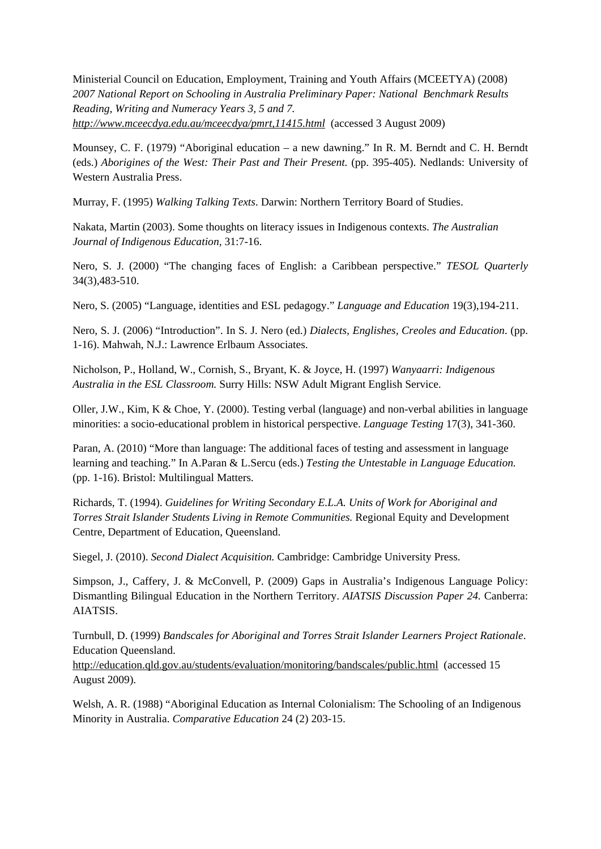Ministerial Council on Education, Employment, Training and Youth Affairs (MCEETYA) (2008) *2007 National Report on Schooling in Australia Preliminary Paper: National Benchmark Results Reading, Writing and Numeracy Years 3, 5 and 7. http://www.mceecdya.edu.au/mceecdya/pmrt,11415.html* (accessed 3 August 2009)

Mounsey, C. F. (1979) "Aboriginal education – a new dawning." In R. M. Berndt and C. H. Berndt (eds.) *Aborigines of the West: Their Past and Their Present.* (pp. 395-405). Nedlands: University of Western Australia Press.

Murray, F. (1995) *Walking Talking Texts*. Darwin: Northern Territory Board of Studies.

Nakata, Martin (2003). Some thoughts on literacy issues in Indigenous contexts. *The Australian Journal of Indigenous Education,* 31:7-16.

Nero, S. J. (2000) "The changing faces of English: a Caribbean perspective." *TESOL Quarterly*  34(3),483-510.

Nero, S. (2005) "Language, identities and ESL pedagogy." *Language and Education* 19(3),194-211.

Nero, S. J. (2006) "Introduction". In S. J. Nero (ed.) *Dialects, Englishes, Creoles and Education*. (pp. 1-16). Mahwah, N.J.: Lawrence Erlbaum Associates.

Nicholson, P., Holland, W., Cornish, S., Bryant, K. & Joyce, H. (1997) *Wanyaarri: Indigenous Australia in the ESL Classroom.* Surry Hills: NSW Adult Migrant English Service.

Oller, J.W., Kim, K & Choe, Y. (2000). Testing verbal (language) and non-verbal abilities in language minorities: a socio-educational problem in historical perspective. *Language Testing* 17(3), 341-360.

Paran, A. (2010) "More than language: The additional faces of testing and assessment in language learning and teaching." In A.Paran & L.Sercu (eds.) *Testing the Untestable in Language Education.*  (pp. 1-16). Bristol: Multilingual Matters.

Richards, T. (1994). *Guidelines for Writing Secondary E.L.A. Units of Work for Aboriginal and Torres Strait Islander Students Living in Remote Communities.* Regional Equity and Development Centre, Department of Education, Queensland.

Siegel, J. (2010). *Second Dialect Acquisition.* Cambridge: Cambridge University Press.

Simpson, J., Caffery, J. & McConvell, P. (2009) Gaps in Australia's Indigenous Language Policy: Dismantling Bilingual Education in the Northern Territory. *AIATSIS Discussion Paper 24.* Canberra: AIATSIS.

Turnbull, D. (1999) *Bandscales for Aboriginal and Torres Strait Islander Learners Project Rationale*. Education Queensland.

http://education.qld.gov.au/students/evaluation/monitoring/bandscales/public.html (accessed 15 August 2009).

Welsh, A. R. (1988) "Aboriginal Education as Internal Colonialism: The Schooling of an Indigenous Minority in Australia. *Comparative Education* 24 (2) 203-15.